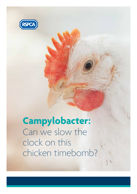

# **Campylobacter:**  Can we slow the clock on this chicken timebomb?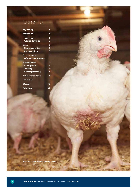### Contents

| Key findings                 | 5  |
|------------------------------|----|
| Background                   | 5  |
| Introduction                 | 6  |
| <b>Welfare definition</b>    | 7  |
| <b>Stress</b>                | 8  |
| <b>Neurotransmittters</b>    | 9  |
| <b>Gut microbiota</b>        | 9  |
| <b>Breed responses</b>       | 11 |
| <b>Inflammatory response</b> |    |
| Environmental                | 13 |
| Litter quality               | 14 |
| <b>Thinning</b>              | 14 |
| Further processing           | 14 |
| Antibiotic resistance        | 15 |
| Conclusion                   | 17 |
| Glossary                     | 19 |
| References                   | 20 |

**Ross 308 faster chicken growing breed**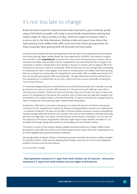#### It's not too late to change

Broilers (chickens reared for meat) have been selectively bred to grow extremely quickly, using as little feed as possible, with today's conventionally reared broilers reaching their market weight of 2.2kg in as little as 35 days. While this is great for business, there is a serious cost to the birds themselves. Multiple studies and reports have shown that faster growing, lower welfare birds suffer much more than slower growing breeds, but these unnaturally faster growing birds still dominate the food market.

It has been demonstrated that faster growing breeds often also have more compromised immune systems than slower growing, higher welfare breeds, like those approved by the RSPCA. We wanted to explore how this links in with **campylobacter**, a bacteria that causes serious food poisoning in humans, with an estimated nine million cases annually in the EU. Campylobacter was, and sometimes still is, thought to be commensal in chickens, meaning that it lives naturally in the gut of a chicken with no negative effects for the bacteria or the bird i.e. they live commensally. While this was once the case, through selective breeding to increase growth rates, in what appears to be a race to increase profits over welfare, these faster growing birds can no longer live commensally with campylobacter and actually suffer in multiple ways because of it. Not only do faster growing birds suffer more physically – through inflammation and hock and feet burns – but campylobacter in stressed birds can be more virulent and more invasive, potentially increasing the risk of human infection.

It is extremely disappointing that an animal which previously lived harmoniously with a naturally-occurring gut bacteria now seems to actively suffer because of it. Physical and mental suffering is now often a customary price of profits. While much hard work has been done over the past few years to reduce the amount of campylobacter that reaches the consumer, most of these steps are made after slaughter and are therefore of no welfare benefit to the birds themselves. To improve the birds lives changes should be made, including only slower growing, higher welfare breeds being reared.

Furthermore, while there is some great work going on to reduce the amount of antibiotics being used on farms in the UK, campylobacter continues to develop increasing antibiotic resistance at an alarming rate – an antibiotic timebomb. This does not just affect the birds; antibiotic resistance in human campylobacter has been strongly linked with antibiotic use in poultry, with some of those antibiotics still being used today, and some no longer able to be used in the birds because of the resistance. Although it isn't yet clear how this resistance in the human campylobacter infections might impact human medicine we believe it is an avoidable risk through making improvements in the breeding and care of broiler chickens.

This report is a review of the evidence already available that demonstrates how a higher welfare, slower growing bird would suffer less and how use of these breeds may also reduce the human campylobacter risk, as well as highlighting the potential antibiotic timebomb.

We strongly believe the Better Chicken Commitment provisions should be the minimum welfare standards for all broiler chickens. While some are adopting these changes, many have yet to do so and widespread problems continue across the food industry.

It's not too late to change.

**…fluoroquinolone resistance in C. jejuni from retail chickens was 52.4 percent… tetracycline resistance in C. jejuni from retail chickens was even higher at 60.6 percent.**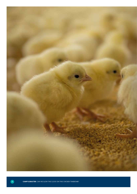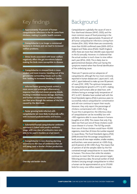### Key findings

**a** Approximately 70 percent of human **campylobacter infections in the UK come from chickens, making it a public health concern.**

**Campylobacter is no longer a commensal bacteria in chickens and can lead to increased welfare problems.**

**• Stress levels associated with lower welfare negatively affect the gut microbiota balance making the birds more susceptible to disease.**

**Campylobacter in stressed birds is more virulent and more invasive, travelling out of the gut and into surrounding tissues such as the liver, leading to increased shedding in faeces.**

l **Infected faster growing breeds exhibit a more severe and prolonged inflammatory response than infected slower growing breeds, resulting in intestinal mucosa damage, diarrhoea, and further environmental welfare problems can then arise through the wetness of the litter caused by the diarrhoea.**

**• Faster growing birds infected with campylobacter are more likely to physically suffer with increased pododermatitis and lesions.**

**• Substantial human campylobacter antibiotic resistance is linked with poultry antibiotic usage, with one class of antibiotics now only able to be used in broilers as a last resort.** 

**Campylobacter is now showing alarming resistance to the class of antibiotics that are still being used in broiler chicken production.**

**One-day-old broiler chicks**

### Background

Campylobacter is globally the cause of one in four diarrhoeal diseases (WHO, 2020), and the most common cause of food poisoning in the UK (NHS, 2021) with approximately 70 percent of all human campylobacter infections coming from chicken (FSA, 2021). While there are consistently more than 50,000 confirmed cases (2009–2017) in England and Wales alone (Public Health England, 2017), there are more than 246,000 cases reported in the EU annually. However, it is believed that the actual number is much closer to nine million each year (EFSA, 2021). This is likely due to gastrointestinal diseases often just having the symptoms treated rather than formal identification of the underlying cause.

There are 17 species and six subspecies of campylobacter, although the two most commonly reported in human disease are C. jejuni and C. coli, with C. jejuni believed to make up over 90 percent of cases (CDC, 2019). The optimum temperature for campylobacter growth is 37°C to 42°C, making chickens and humans alike an ideal host, with chickens having an average body temperature of 41°C to 42°C. Retailers have worked well with the Food Standards Agency (FSA) in previous years to successfully reduce campylobacter contamination and still now continue to report their results. However, they only report the percentage of chickens contaminated with >1,000 cfu/g. To put this in perspective, the infectious dose of campylobacter can be incredibly low with <500 organisms able to cause disease in humans (Laughlin et al, 2019). This means that only 0.5g taken raw from just one of those chickens could cause disease in a human. The full 10g sample from one of those chickens would have >10,000 organisms, more than 20 times the number required to cause illness. The Food Standards Agency (FSA) (2019) showed that the average campylobacter levels, across all nine major retailers, smaller retailers, and butchers, were seven percent at >1,000 cfu/g, and 20 percent at 100–1,000 cfu/g. This means that 27 percent of all the samples taken by the FSA contained enough campylobacter to cause illness in humans. This shows that while the retailers continue to meet the FSA seven percent target, following previous data, the actual number of retail chickens carrying enough campylobacter to infect a human can be approximated at up to 270,000 birds for every one million reared, if not more.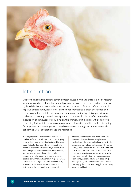

#### Introduction

Due to the health implications campylobacter causes in humans, there is a lot of research into how to reduce colonisation at multiple control points across the poultry production cycle. While this is an extremely important area of research for food safety, the actual negative effects campylobacter has on the birds themselves is often overlooked due to the assumption that it is still a natural commensal relationship. This report aims to challenge this assumption and identify some of the ways that birds suffer due to the inoculation of campylobacter. Building on this premise, multiple areas will be explored to identify further links between campylobacter colonisation and bird welfare, including faster growing and slower growing breed comparisons, through to another extremely concerning area – antibiotic usage and resistance.

If campylobacter is a commensal bacteria in chicken, infection would result in no underlying negative health or welfare implications. However, campylobacter has been shown to negatively affect chickens in a variety of ways, with further links being drawn between breed, environment, and welfare. It's been shown that broilers, regardless of faster growing or slower growing, elicit an early innate inflammatory response when colonised with C. jejuni. This initial inflammatory response, while natural, remains elevated in fast-growing breeds, leading to prolonged

intestinal inflammation and even diarrhoea. Even with the initial welfare implications involved with the intestinal inflammation, further environmental welfare problems can then arise through the wetness of the litter caused by the diarrhoea. It has also been demonstrated that both faster growing and slower growing birds show evidence of intestinal mucosa damage from campylobacter (Humphrey et al, 2014), although at significantly different levels, further challenging the concept of campylobacter being a commensal bacteria.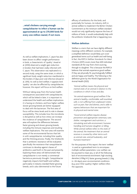**…retail chickens carrying enough campylobacter to infect a human can be approximated at up to 270,000 birds for every one million reared, if not more.**

As well as welfare implications, C. jejuni has also been shown to affect weight performance in birds, a characteristic of 'quality'. Awad et al. (2014) observed a weight gain reduction in broilers that had been orally infected with C. jejuni. This observation was replicated in a second study, using the same strain, in which a significant body weight reduction manifested in the broilers 21 days post oral infection (Awad et al, 2015). As well as bird welfare, it appears bird 'quality' can also be affected by campylobacter, however, this report will focus on bird welfare.

Without taking away from the human health consequences associated with campylobacter, which will be linked in later, it is important to understand the health and welfare implications it is having on chickens, and how higher welfare, slower growing breeds are better equipped to deal with the bacterium. The first area of focus will be stress levels and its role in disease susceptibility. This includes how the microbiota is disrupted as well as how stress can increase the virulence of campylobacter. The second area will explore the differences between faster growing and slower growing breeds, including the immune responses and resulting welfare implications. The next area will examine some of the environmental factors that link in with campylobacter, including litter quality and the thinning process. Finally, the timebomb that is antibiotic resistance will be evaluated, specifically the resistance that campylobacter continues to develop against classes of antibiotics used both in the past and presently. Exploring these areas will demonstrate that campylobacter is not merely a commensal bacteria as previously thought. Campylobacter negatively impacts bird health and welfare, particularly in industry standard faster growing breeds, and is also detrimental to the future

efficacy of antibiotics for the birds, and potentially for humans. An industry shift in animal welfare to implement the Better Chicken Commitment as the minimum welfare standard would not only significantly improve the lives of millions of birds, it would undoubtedly help with the antibiotic timebomb that is happening now.

#### **Welfare definition**

Welfare is a term that can have slightly different meanings within different contexts. For example, a simplified definition would likely just cover generalised terms such as health and well-being. In fact, the *RSPCA Welfare Standards For Meat Chickens* (2017) covers more than 600 individual standards all the way from chick sourcing, through to slaughter. This is because the RSPCA believes that animals experience good welfare if they are physically fit, psychologically fulfilled and are happy and healthy. The following is the definition given by the World Organisation for Animal Health (2021):

*"Animal welfare means the physical and mental state of an animal in relation to the conditions in which it lives and dies.*

*"An animal experiences good welfare if the animal is healthy, comfortable, well nourished, safe, is not suffering from unpleasant states such as pain, fear and distress, and is able to express behaviours that are important for its physical and mental state.*

*"Good animal welfare requires disease prevention and appropriate veterinary care, shelter, management and nutrition, a stimulating and safe environment, humane handling and humane slaughter or killing. While animal welfare refers to the state of the animal, the treatment that an animal receives is covered by other terms such as animal care, animal husbandry, and humane treatment."*

For the purposes of this report, the term 'welfare' is used as a generalised term to encompass multiple welfare parameters. Low welfare can be assumed to mean any, or all of the following: lack of environmental enrichment; high stocking densities (>30kg/m2 ); faster growing breeds (~2.2kg in <36 days); poor environmental conditions (e.g. poor litter quality). Higher welfare infers the opposite.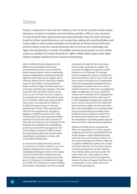#### Stress

Firstly, it is important to note that the inability, or lack of stimuli, to perform basic natural behaviours can lead to frustration and stress (Mason and Burn, 2011). It is also important to note that both faster growing and slower growing broilers share the same motivation to perform these natural behaviours, such as perching, walking and scratching (Bokkers and Coene, 2003). As lower welfare standards can include lack of environmental enrichment and the inability to perform natural behaviours due to bird size and morphology, and higher stocking densities, a number of avoidable stressors are all present in lower welfare systems as standard. This means that birds of higher welfare breeds reared under higher welfare standards experience fewer stressors during rearing.

Bull et al (2008) collected samples from 214 different farms throughout the UK and demonstrated that under commercial British broiler rearing conditions, there is a relationship between campylobacter colonisation levels and digital dermatitis/rejections at slaughter due to infectious disease, both of which have a negative impact on bird welfare. 'Commercial British broiler conditions' implies the birds reared were commonly-used faster growing breeds. The study found that if the dermatitis incidence in the flock was ≥2%, the flock was twice as likely to be campylobacter positive. Although the study shows correlation rather than cause and effect, these results were replicated by Williams et al (2013), showing an increase in hock and pododermatitis levels in faster growing birds infected with campylobacter, and again by Alpigiani et al (2017) in another similar study. This particular small scale study demonstrated that flocks that had more than 25 percent of birds with severe lesions (on 25–50 percent of the footpad) were predicted to be campylobacter positive by the end of the rearing period, with lesions acting as a predictive welfare measure. By improving bird welfare, this may also reduce campylobacter colonisation in broilers, with one possible link being stress.

It is known that raised stress levels, that can be caused by low welfare conditions, can cause elevated neurotransmitter levels, including noradrenaline (Cheng et al, 2002). In vitro studies have demonstrated that campylobacter spp. will have higher motility and growth rate when grown in the presence of noradrenaline (Cogan et al, 2006). This could lead to increased shedding (the expulsion of pathogenic bacteria), increasing

transmission through the flock when stress levels are high, caused by low welfare. This could also be triggered during other stressful situations such as thinning. This has been further investigated by Avoori et al (2014) who demonstrated that C. jejuni is more virulent and more invasive in the presence of noradrenaline. Within the noradrenaline-pretreated birds the campylobacter invaded more livers, and the number of bacteria in these livers was significantly higher. Noradrenaline not only increased the virulence and invasiveness of the campylobacter, but also stimulated the birds to shed more of it. With campylobacter being more virulent and more invasive in stressed birds, this implies that these birds pose a higher risk of human illness due to the campylobacter not remaining within the gut and penetrating surrounding tissues. During factory processing the innards of the bird are removed, however this is irrelevant if the campylobacter has already spread, especially as livers are often collected and sold separately.

Williams et al (2013) directly compared the effects of campylobacter on 37-day slaughter weight Ross (a commonly used breed) birds and 56-day slaughter weight Hubbard birds, kept under the same environmental conditions. At two, seven and 16 days post infection, there was no significant difference in spleen, liver or ceaca colonisation between the two breeds, however the faster growing breed, the Ross, did have more infected spleens and livers overall. The small sample sizes could explain why these differences were not found to be significant, however this does still support the theory that campylobacter is more motile and invasive within faster growing birds.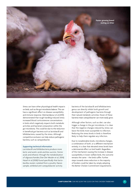

Stress can have other physiological health impacts on birds, such as the gut microbiota balance. This can have a significant effect on disease susceptibility and immune response. Meimandipour et al (2010) demonstrated that rough handling-induced stress increased blood corticosterone concentrations in birds which negatively impacts both metabolic activities and bacterial composition within the gut microbiota. This could be due to the reduction in beneficial gut bacteria such as lactobacilli and bifidobacteria, caused by the stress. Although competitive exclusion can help reduce pathogenic bacteria, such as campylobacter,

#### *Supporting technical information*

*Lactobacilli and bifidobacteria produce more lactic and acetic acids and less succinic, formic acids and ethanol, through the metabolisation of oligosaccharides (Van Der Meulen et al, 2004). Nazef et al (2008) found specifically that lactobacillus reuteri, isolated from a poultry faeces sample, exhibited anti-campylobacter activity.*

bacteria of the lactobacilli and bifidobacteria genus can directly inhibit both growth and development of pathogenic bacteria through their natural metabolic activities. Fewer of these bacteria mean campylobacter can more easily grow.

Although other factors, such as diet, can also trigger a change in the gut microbiota, it is clear that the negative changes induced by stress can leave the birds more susceptible to infection. Reducing the stress levels in birds is therefore likely to help them regulate any infection.

Due to noradrenaline levels, microbiota changes, a combination of both, or a different mechanism entirely, it is clear that elevated stress levels have a detrimental effect on bird health. Regardless of the mechanism causing the increase in disease susceptibility in lower welfare birds, the outcome remains the same – the birds suffer. Further steps towards stress reduction in the majority of broilers could be taken by simply adopting the Better Chicken Commitment requirements.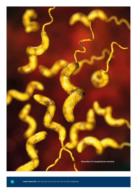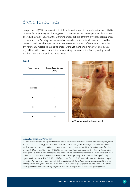### Breed responses

Humphrey et al (2014) demonstrated that there is no difference in campylobacter susceptibility between faster growing and slower growing broilers under the same experimental conditions. They did however show that the different breeds exhibit different physiological responses to the infection. By using the same environmental conditions for all breeds, it could be demonstrated that these particular results were due to breed differences and not other environmental factors. The specific breeds were not mentioned, however Table 1 gives a good indication. As expected, the inflammatory response in the faster growing breed was both more prolonged and more severe.

| <b>Breed group</b> | Breed slaughter age<br>(days) |
|--------------------|-------------------------------|
| A1                 | 35                            |
| Control            | 36                            |
| A <sub>2</sub>     | 39                            |
| B1                 | 48                            |
| <b>B2</b>          | 56                            |

#### **Table 1:**



**JA757 slower growing chicken breed**

#### *Supporting technical information*

*All four of the test groups expressed three types of cytokines associated with the inflammatory response (CXCLi1, CXCLi2 and IL-1*β*) two days post oral infection with C. jejuni. Five days post infection these mediators were reduced in all but breed A1 in which they remained significantly higher than the other breeds. By 12 days post infection CXCLi2 levels continued to remain significantly higher in the A1 birds, although IL-1*β *expression had reduced and there was no significant difference in CXCLi1 levels between breeds. In contrast to this elevated response in the faster growing birds, breed B2 had significantly higher levels of interleukin-10 (IL-10) at 12 days post infection. IL-10 is an inflammation feedback negative regulator that plays an important role in the regulation of the inflammatory response, and therefore the regulation of C. jejuni. The low levels of IL-10 in the faster growing birds could be the cause of the prolonged elevated inflammatory response, and lack of regulation in the faster growing breed.*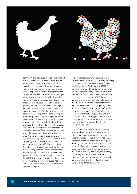

Both the A1 and B2 groups showed morphological evidence of intestinal mucosa damage through inflammatory infiltration as a result of the campylobacter infection. However, the damage was not only more common, but more intense in the A1 group with 7/10 birds affected compared to 3/10, respectively. One result of the prolonged inflammatory response in the A1 birds was that they were found to have diarrhoea when welfare checks were conducted. None of the other groups did other than the infected control group, although the immune responses of this group were not monitored. With the close slaughter age between the A1 group and the control group, this is not unexpected. This physiological response seems to be due to a poorly regulated immune response in the faster growing birds, with the diarrhoea then leading to further welfare issues. Aside from the slaughter age (and hence growth rate), other welfare differences were also evident across the groups even though all birds were kept under the same experimental conditions with regular litter changes. 9/10 of the infected A1 birds showed signs of pododermatitis at 12 days post infection, whereas group B2 showed no signs. This is likely due to a combination of the diarrhoea in the A1 group, creating wet and infected litter, and the behavioural differences between faster growing and slower growing breeds, as shown by Dixon (2020), with faster growing breeds spending more time sitting in the wet infected litter. This falls in line with the findings in the stress related studies (see page 8).

The differences in immune responses seen in different breeds is further supported by a briefing conducted on Dutch slower growing broilers by Compassion In World Farming (2020). The data analysis showed that slower growing birds are three times less likely to require antibiotic intervention from illness. Even more significant, previous Dutch figures from 2015 showed that antibiotic usage in conventional faster growing breeds was more than five times higher than antibiotic levels used on slower growing breeds (Alliance to Save Our Antibiotics, 2016). While there may be a number of factors affecting the level of antibiotic usage on any one farm, this information adds weight to the view that slower growing birds are better able to regulate immune responses, and are therefore less susceptible to disease.

This demonstrates multiple positive factors associated with using slower growing broilers with regards to campylobacter. Lower welfare, faster growing birds were shown to not only have a more severe inflammatory immune response, resulting in poorer health, but to exhibit other poorer welfare outcomes in the form of pododermatitis. A switch to a slower growing breed would not only reduce physical suffering, but as they are better able to manage infections this may also further reduce overall antibiotic usage and thus reduce the risk of antibiotic resistance developing.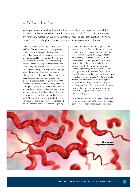#### Environmental

While previous research has shown that breed has a significant impact on campylobacterassociated problems in chickens, breed alone is not the only factor at play as multiple environmental factors can also have an impact. These include litter quality, the thinning process, and post-slaughter control points affecting campylobacter colonisation.

During the Dixon (2020) study comparing the welfare of faster growing and slower growing broiler breeds, litter (wood shavings) was replenished as and when needed, as it would be on a commercial farm to maintain it in a dry and friable state. It was noted that faster growing birds needed shavings replenishing three to five times during the trial, resulting in 24kg extra per pen. Slower growing birds only needed shavings replenishing two to three times, resulting in only 14kg extra per pen. This shows that even without campylobacter as a contributing factor, faster growing breeds induce lower quality litter. With the added diarrhoea caused by campylobacter in faster growing breeds (as shown in Humphrey et al, 2014), litter quality would reduce even further and faster, inevitably leading to higher levels of hock burn and pododermatitis. Within the same study (Dixon, 2020) slower growing birds had a significantly higher proportion of lower (better) breast cleanliness scores than the faster growing

breeds. This is due to the slower growing birds spending less time feeding, drinking and sitting than the other breeds and more time standing, in locomotion, foraging, preening, dustbathing and perching. It is likely that the significant increase in wood shavings used for the faster growing birds is due to these behavioural differences, with the faster growing birds spending significantly more time sitting in the shavings, mixed with their own faeces. This is further backed up by the poor cleanliness scores in the faster growing breeds. An interesting side note to this is that with slower growing birds using less litter as standard, and less likely to get diarrhoea from infection, a switch to slower growing birds would not only save money on litter in the long run but also help contribute to sustainability goals.

Birds that are colonised with campylobacter will typically excrete up to log10 8 cfu of C. jejuni per gram of faecal matter (Line, 2006). This means

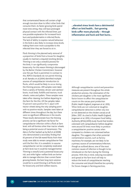that contaminated faeces will contain a high enough inoculum dose to infect other birds that consume them. As faster-growing birds spend more time sitting, they will have prolonged physical contact with the infected litter, just one possible explanation for increased hock burn and pododermatitis in infected flocks. The lack of ability to express natural behaviour in the birds is also likely to increase stress levels, making them even more susceptible to the infected litter they are forced to sit in.

Flock thinning is the planned early removal of a proportion of birds from a house for slaughter, usually to maintain a required stocking density. Thinning is not only a stressful process for the birds, it can significantly compromise biosecurity. For this reason thinning is discouraged by the Better Chicken Commitment, however one thin per flock is permitted. In contrast to this, RSPCA Standards do not permit thinning at all. Ramabu et al (2004) identified multiple sources of campylobacter introduction to flocks, which would be likely to occur during the thinning process. 209 samples were taken from a variety of fomites; drivers' and catchers' boots, truck beds, forklifts and tractors, truck wheels, crates and pallets. These samples were taken after cleaning, but before departing to the farm for the thin. Of the samples taken 53 percent were positive for C. jejuni with tractor wheels being the only sampling point with no positive results. Samples were taken at different times throughout the day, but there were no significant differences in the results. These results demonstrate how the thinning process can be a significant risk factor for campylobacter infection within a flock at farm level, with all fomites other than tractor wheels being a potential source of transmission. This data is further backed up by Bull et al (2008) who demonstrated a secondary finding that 65 percent of the GB reared flocks from their study were able to remain campylobacter free until the first thin. It is unrealistic to assume campylobacter can be completely eradicated at farm level, but it could be managed better. Thinning is stressful and a potential biosecurity risk, and while higher welfare birds are better able to manage infection than current faster growing breeds, the best long-term solution would be to avoid thinning in all flocks both for biosecurity and bird welfare reasons.

**…elevated stress levels have a detrimental effect on bird health... fast-growing birds suffer more physically – through inflammation and hock and feet burns…** 

Although campylobacter control and prevention measures are present throughout the whole production process, the colonisation of the chickens pre-slaughter is the most significant factor known to affect the campylobacter counts on the carcass post production (Public Health England, Jorgensen et al, 2015). When birds are not colonised at slaughter, campylobacter detection is either very low or not detected on the chicken carcass at all (Allen, 2007. As cited in Public Health England, Jorgensen et al, 2015). A European Food Safety Authority (EFSA) (2010) study found that broilers colonised with campylobacter before slaughter were around 30 times more likely to produce a campylobacter positive carcass when compared to chickens not colonised before slaughter. This suggests that other potential contamination sources, such as factory machinery for example, are not likely to be a primary source of contamination/infection, though as outlined above, one of the most common causes of infection is thought to be introduced on the farm during the thinning process. With this in mind, reducing inoculation and spread at the farm level will help to reduce the levels of campylobacter reaching the consumer and should therefore be a priority for future changes in farming practices.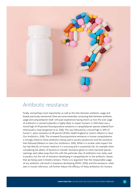

#### Antibiotic resistance

Finally, and perhaps most importantly, as well as the links between antibiotic usage and breeds previously mentioned, there are some extremely concerning links between antibiotic usage and campylobacter itself, with past experiences having shown us how the over usage of antibiotics in animal husbandry is highly likely to impact humans. In 2014 there was a record high of 49 percent fluoroquinolone resistance in campylobacter species isolated from retail poultry meat (Jorgensen et al, 2016). This was followed by a record high in 2015 of human C. jejuni resistance at 48 percent (Public Health England as cited in Alliance to Save Our Antibiotics, 2016). The increased fluoroquinolone resistance in human campylobacter is strongly linked to these antibiotics being used in poultry production and the resistance that followed (Alliance to Save Our Antibiotics, 2016). While it is unclear what impact this has had directly on human medicine it is worrying and is a potential risk, for example when considering the ability of bacteria to transfer resistance genes to other bacterial species. Learnings were taken away from this with this particular class of antibiotics now rarely used in poultry, but the risk of resistance developing in campylobacter to the antibiotic classes that are being used in broilers remains. There is no argument that the irresponsible usage of any antibiotic will result in resistance developing (WHO, 2020), and this resistance, when seen in human infections, will further reduce the efficacy of these antibiotics for humans.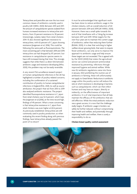Tetracyclines and penicillins are now the two most common classes of antibiotics currently used in poultry (UK-VARSS, 2020). Between 2013 and 2017, the amount of campylobacter species isolated from humans increased resistance to tetracycline antibiotics, from 33 percent resistance to 39 percent. Interestingly, isolates taken from retail chickens 2014–15 also showed significant resistance to tetracyclines, with 63 percent of C. jejuni showing resistance (Jorgensen et al, 2016). This could be following the same path as fluoroquinolones. The most concerning part is that between 2014 and 2019, tetracycline use had dropped by 87 percent, but resistance in campylobacter species seems to have still increased during that time. This strongly suggests that while there is a direct link between antibiotic usage and resistance developing (Who, 2020), this problem may not be easily reversible.

A very recent FSA surveillance research project on human campylobacter infections in the UK has highlighted a number of poultry-related concerns, including the confirmation of a sustained contribution of poultry to human campylobacter infections in England (FSA, 2021). As well as source attribution, the project that ran from 2015 to 2019 also analysed antibiotic resistance. The project identified fluoroquinolone resistance in C. jejuni from retail chickens was 52.4 percent, which tops the Jorgensen et al (2016), at the time record high, findings of 49 percent. What is more concerning is that tetracycline resistance in C. jejuni from retail chickens was even higher at 60.6 percent. As previously established, tetracyclines are still commonly used in poultry production, so when evaluating this recent finding along with previous findings, have tetracyclines already passed the point of no return? **Chicken breast quality control assessment**

It must be acknowledged that significant work has been done to reduce antibiotic usage in the chicken industry, with an overall reduction of 64 percent between 2014 and 2019 (UK-VARSS, 2020). However, there was a small spike towards the end of that timeframe with a 7.6mg/kg increase between 2017 and 2019. While targets for the next four years are to maintain the current usage of antibiotics, rather than reducing them further (RUMA, 2020), it is clear that switching to higher welfare slower growing birds, that seem to require fewer antibiotics, can only serve to improve the approach to antibiotic usage and help ensure these targets are not exceeded. This is agreed with by the WHO (2020) that states the agricultural sector can control and prevent antimicrobial resistance by preventing infections through improved hygiene and animal welfare. While new EU antibiotic regulations came into force in January 2022 prohibiting the routine use of antibiotics in farming, these will unfortunately not apply to Great Britain. Reductions in antibiotic usage within the poultry sector will reduce the rate at which resistance is developing in bacteria such as campylobacter, which can then infect humans and may have an impact, directly or indirectly, on the effectiveness of important antibiotics. It is of vital importance that all help maintain the efficacy of the antibiotics that are still effective. While the initial antibiotic reduction was a great success, it is now that the challenge really begins. If antibiotic usage in broilers can safely be further reduced, without compromising their health and welfare, and potentially through improving health and welfare, there is surely a responsibility to do so.

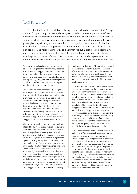#### Conclusion

It is clear that the idea of campylobacter being commensal has become outdated. Perhaps it was in fact previously the case and many years of selective breeding and intensification in the industry have damaged this relationship. Either way, we can see that campylobacter now affects both faster growing and slower growing broilers in multiple ways, with faster growing birds significantly more susceptible to the negative consequences of infection. Stress has been shown to compromise the broiler immune system in multiple ways. This includes increased noradrenaline levels and a shift in the gut microbiota composition. As stress is more prevalent in low welfare birds, they inevitably are more susceptible to disease, including campylobacter infection. The combination of stress and campylobacter results in more virulent, tissue infiltrating bacteria that could increase the risk of human infection.

Faster growing broilers have also been shown to be unable to regulate the inflammatory response associated with campylobacter inoculation, the likely cause behind the more severe intestinal damage and diarrhoea seen. This is backed up by one report suggesting that slower growing breeds could be up to five times less likely to require antibiotic intervention from illness.

Under standard conditions faster growing birds require significantly more litter, meaning infected faster growing birds with diarrhoea would require even more. Faster growing birds also spend significantly more time sitting on wet litter, reflected in breast cleanliness scores, and are likely more stressed due to the inability to perform natural behaviours. Birds are then subjected to the thinning process, which poses serious risk to both welfare and biosecurity, and provides an opportunity for the introduction of campylobacter to the already stressed flock.

It has been repeatedly shown that in campylobacter infected flocks, more birds develop hock burn and pododermatitis compared to birds that are not infected regardless of breed growth rate. It has also been shown that when comparing faster and slower growing birds this incidence is significantly higher in faster growing breeds. This is likely due to a combination of multiple factors such as stress, an unregulated inflammatory response, and being forced to sit in the wet infected litter, as well as potentially being unable to divert adequate protein to repair tissue damage and sustain an immune response due to fast muscle growth rate. While biosecurity and other control interventions are in place to minimise campylobacter throughout the production cycle, it is unrealistic to believe that campylobacter on farms will be completely

eradicated any time soon. Although these control measures are constantly evolving to increase effectiveness, the most impactful action would be to move to slower growing breeds that are better able to manage campylobacter infection, require less antibiotics, and will suffer significantly less because of it.

Complete transition of the chicken industry from the current minimum legislation to the Better Chicken Commitment minimum requirements may not only lead to a reduction in campylobacter prevalence across the whole industry, this in turn may ultimately be reflected in a reduction of foodborne related illness across the human population. The relative EU risk of human campylobacteriosis through broiler meat could be reduced by up to 58 percent with only a 3-log10 reduction in caecal campylobacter concentrations in broilers (EFSA Panel on Biological Hazards, 2020). Hence, the switch to higher welfare chicken would not only benefit the birds themselves with a better quality of life, but would also benefit the industry and consumers alike.

Due to the vast scope of this subject, there are a multitude of further research avenues to further explore. However, at this stage, our findings strongly suggest that campylobacter is no longer commensal and faster growing, lower welfare broilers suffer these consequences. The evidence also shows that antibiotic usage in the poultry sector requires further urgent attention and needs to be addressed now since development of resistance may not be easily reversible and may have implications for human medicine. Adopting the Better Chicken Commitment will not only reduce suffering, and also help sustain future antibiotic efficacy, it will undoubtedly slow the clock on this chicken timebomb.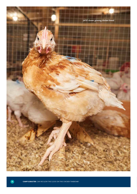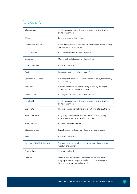## Glossary

| Bifidobacteria                    | A major genera of bacteria that inhabits the gastrointestinal<br>tracts of mammals                                                                            |
|-----------------------------------|---------------------------------------------------------------------------------------------------------------------------------------------------------------|
| CFU/g                             | Colony forming units per gram                                                                                                                                 |
| Competitive exclusion             | When multiple species compete for the same resources causing<br>one species to be eliminated                                                                  |
| Corticosterone                    | A hormone involved in stress responses                                                                                                                        |
| Cytokines                         | Molecules that help regulate inflammation                                                                                                                     |
| Fluoroquinalones                  | A class of antibiotics                                                                                                                                        |
| Fomites                           | Objects or materials likely to carry infection                                                                                                                |
| Gastrointestinal disease          | A disease that affects the GI tract (mouth to anus), for example,<br>food poisoning                                                                           |
| Hock burn                         | Burns on the lower leg (hock), usually caused by prolonged<br>contact with moisture and ammonia                                                               |
| Inoculum dose                     | A dosage of bacteria able to cause disease                                                                                                                    |
| Lactobacilli                      | A major genera of bacteria that inhabits the gastrointestinal<br>tracts of mammals                                                                            |
| Microbiota                        | The microorganisms that make up a particular site, e.g. the gut                                                                                               |
| Neurotransmitter                  | A signalling molecule released by a nerve fibre, triggering<br>another nerve, a muscle, or other structure                                                    |
| Noradrenaline                     | A type of neurotransmitter                                                                                                                                    |
| Oligosaccharides                  | Carbohydrates made up from three to six simple sugars                                                                                                         |
| Penicillins                       | A class of antibiotics                                                                                                                                        |
| Pododermatitis/Digital dermatitis | Burns on the foot, usually caused by prolonged contact with<br>moisture and ammonia                                                                           |
| Tetracyclines                     | A class of antibiotics                                                                                                                                        |
| Thinning                          | Removal of a proportion of birds from a flock at a lower<br>weight part way through the production cycle, leaving the<br>others to grow on to a higher weight |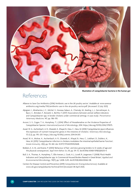

**Illustration of campylobacter bacteria in the human gut**

#### References

- Alliance to Save Our Antibiotics (2016) 'Antibiotic use in the UK poultry sector'. Available at: [www.saveour](https://www.saveourantibiotics.org/media/1763/antibiotic-use-in-the-uk-poultry-sector.pdf) [antibiotics.org/media/1763/antibiotic-use-in-the-uk-poultry-sector.pdf.](https://www.saveourantibiotics.org/media/1763/antibiotic-use-in-the-uk-poultry-sector.pdf) (Accessed: 22 July 2021).
- Alpigiani, I., Abrahantes, J. C., Michel, V., Huneau-Salaun, A., Chemaly, M., Keeling, L. J., Gervelmeyer, A., Bacci, C., Brindani, F., Bonardi, S., Berthe, F. (2017) 'Associations between animal welfare indicators and Campylobacter spp. In broiler chickens under commercial settings: A case study', *Preventative Veterinary Medicine*, 147, pp. 186–193.
- Avoori, S. V., Cogan, T. A., Humphrey, T. J. (2014) 'Effect of Noradrenaline on the Virulence Properties of Campylobacter Species', *International Journal of Microbiology*, 2014. [https://doi.org/10.1155/2014/279075.](https://www.hindawi.com/journals/ijmicro/2014/279075/)
- Awad, W. A., Aschenbach, A. R., Ghareeb, K., Khayal, B., Hess, C., Hess, M. (2014) 'Campylobacter jejuni influences the expression of nutrient transporter genes in the intestine of chickens', *Veterinary Microbiology*, 172 (1,2), pp. 195–201. [https://doi.org/10.1016/j.vetmic.2014.04.001.](https://www.sciencedirect.com/science/article/pii/S0378113514002016?via%3Dihub)
- Awad, W. A., Molnar, A., Aschenbach, A. R., Ghareeb, K., Khayal, B., Hess, C., Liebhart, D., Dublecz, K., Hess, M. (2015) 'Campylobacter infection in chickens modulates the intestinal epithelial barrier function', *Innate Immunity*, 21(2), pp. 151–160. doi: 10.1177/1753425914521648.
- Bokkers, E. A. M., and Koene, P. (2003) 'Behaviour of fast- and slow growing broilers to 12 weeks of age and the physical consequences', *Appl Anim Behav Sci*, 81, pp. 59–72. doi:10.1016/S0168-1591(02)00251-4.
- Bull, S. A., Thomas, A., Humphrey, T., Ellis-Iversen, J., Cook, A. J., Lovell, R., Jorgensen, F. (2008) 'Flock Health Indicators and Campylobacter spp. In Commercial Housed Broilers Reared in Great Britain', *Applied and Environmental Microbiology*, 74(17), pp. 5,408–5,413. doi:10.1128/AEM.00462-08.
- Centers for Disease Control and Prevention (2019) *Campylobacter (Campylobacteriosis)*. Available at: [www.cdc.gov/campylobacter/technical.html](https://www.cdc.gov/campylobacter/technical.html) (Accessed: 08 April 2021).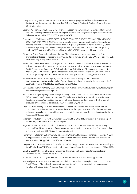- Cheng, H. W., Singleton, P., Muir, W. M. (2002) 'Social Stress in Laying Hens: Differential Dopamine and Corticosterone Responses after Intermingling Different Genetic Strains of Chickens'. *Poultry Science*, 81, pp. 1,265–1,272.
- Cogan, T. A., Thomas, A. O., Rees, L. E. N., Taylor, A. H., Jepson, M. A., Williams, P. H., Ketley, J., Humphrey, T. J. (2006) 'Norepinephrine increases the pathogenic potential of Campylobacter jejuni', *Gastrointestinal Infection*, 56, pp. 1,060–1,065. doi: 10.1136/gut.2006.114926.
- Compassion in World Farming (2020) *DUTCH SLOWER GROWING CHICKENS REQUIRE LESS ANTIBIOTICS THAN FAST-GROWING CHICKENS*, [www.ciwf.org.uk/research/species-meat-chickens/dutch-slower](https://www.ciwf.org.uk/research/species-meat-chickens/dutch-slower-growing-chickens-require-less-antibiotics-than-fast-growing-chickens/#:~:text=Download-,Dutch%20slower%20growing%20chickens%20require%20less%20antibiotics%20than%20fast%2Dgrowing,antibiotic%20treatment%20as%20fast%20growing%E2%80%A6)growing-chickens-require-less-antibiotics-than-fast-growing-chickens/#:~:text=Download-,Dutch% [20slower%20growing%20chickens%20require%20less%20antibiotics%20than%20fast%2Dgrowing,](https://www.ciwf.org.uk/research/species-meat-chickens/dutch-slower-growing-chickens-require-less-antibiotics-than-fast-growing-chickens/#:~:text=Download-,Dutch%20slower%20growing%20chickens%20require%20less%20antibiotics%20than%20fast%2Dgrowing,antibiotic%20treatment%20as%20fast%20growing%E2%80%A6) [antibiotic%20treatment%20as%20fast%20growing%E2%80%A6](https://www.ciwf.org.uk/research/species-meat-chickens/dutch-slower-growing-chickens-require-less-antibiotics-than-fast-growing-chickens/#:~:text=Download-,Dutch%20slower%20growing%20chickens%20require%20less%20antibiotics%20than%20fast%2Dgrowing,antibiotic%20treatment%20as%20fast%20growing%E2%80%A6) (Accessed: 22 March 2021).
- Dixon, L. M. (2020) 'Slow and steady wins the race: The behaviour and welfare of commercial faster growing broiler breeds compared to a commercial slower growing breed', *PLoS ONE*, 15(4), doi: e0231006. [https://doi.org/10.1371/journal.pone.0231006](https://journals.plos.org/plosone/article?id=10.1371/journal.pone.0231006)
- EFSA BIOHAZ Panel (EFSA Panel on Biological Hazards), Koutsoumanis, K., Allende, A., Alvarez-Ordo~nez, A., Bolton, D., Bover-Cid, S., Davies, R., De Cesare, A., Herman, L., Hilbert, F., Lindqvist, R., Nauta, M., Peixe, L., Ru, G., Simmons, M., Skandamis, P., Suffredini, E., Alter, T., Crotta, M., Ellis-Iversen, J., Hempen, M., Messens, W., and Chemaly, M. (2020) 'Update and review of control options for Campylobacter in broilers at primary production', *EFSA Journal 2020*, 18(4), pp. 3–4. doi: 10.2903/j.efsa.2020.6090.
- European Food Safety Authority (2010) 'Analysis of the baseline survey on the prevalence of Campylobacter in broiler batches and of Campylobacter and Salmonella on broiler carcasses, in the EU, 2008', *EFSA Journal 2010*, 8(8):1522. doi:10.2903/j.efsa.2010.1522.
- European Food Safety Authority (2021) *Campylobacter*. Available at: [www.efsa.europa.eu/en/topics/topic/](https://www.efsa.europa.eu/en/topics/topic/campylobacter) [campylobacter](https://www.efsa.europa.eu/en/topics/topic/campylobacter) (Accessed: 07 April 2021).
- Food Standards Agency (2019) *A microbiological survey of campylobacter contamination in fresh whole UK-produced chilled chickens at retail sale (Y2/3/4)* – Year 4. Available at: [www.food.gov.uk/research/](https://www.food.gov.uk/research/foodborne-disease/a-microbiological-survey-of-campylobacter-contamination-in-fresh-whole-uk-produced-chilled-chickens-at-retail-sale-y234) [foodborne-diseases/a-microbiological-survey-of-campylobacter-contamination-in-fresh-whole-uk](https://www.food.gov.uk/research/foodborne-disease/a-microbiological-survey-of-campylobacter-contamination-in-fresh-whole-uk-produced-chilled-chickens-at-retail-sale-y234)[produced-chilled-chickens-at-retail-sale-y234](https://www.food.gov.uk/research/foodborne-disease/a-microbiological-survey-of-campylobacter-contamination-in-fresh-whole-uk-produced-chilled-chickens-at-retail-sale-y234) (Accessed: 07 June 2021).
- Food Standards Agency (2021) *Enhanced molecular-based surveillance and source attribution of campylobacter infections in the UK*. Available at: [www.food.gov.uk/research/foodborne-diseases/](https://www.food.gov.uk/research/foodborne-diseases/enhanced-molecular-based-surveillance-and-source-attribution-of-campylobacter-infections-in-the-uk) [enhanced-molecular-based-surveillance-and-source-attribution-of-campylobacter-infections-in-the-uk](https://www.food.gov.uk/research/foodborne-diseases/enhanced-molecular-based-surveillance-and-source-attribution-of-campylobacter-infections-in-the-uk)  (Accessed: 12 October 2021).
- Jorgensen, F., Madden, R. H., Swift, C., Charlotte, A., Elviss, N. C. (2016) 'PHE Antimicrobial resistance report for FSA Project FS241044', *Public Health England*.
- Jorgensen, F., Madden, R. H., Arnold, E., Charlotte, A., Elviss, N. C. (2015) 'FSA Project FS241044 Survey report: A Microbiological survey of campylobacter contamination in fresh whole UK produced chilled chickens at retail sale (2014-15), *Public Health England*, 2.
- Humphrey, S., Chaloner, G., Kemmett, K., Davidson, N., Williams, N., Kipar, A., Humphrey, T., Wigley, P. (2014) 'Campylobacter jejuni Is Not Merely a Commensal in Commercial Broiler Chickens and Affects Bird Welfare', *Mbio*, 5(4), pp. 1–7. doi:10.1128/mBio.01364-14.
- Laughlin, M. E., Chatham-Stephens, K., Geissler, A. L. (2019) Campylobacteriosis. Available at: wwwnc.cdc.gov/ travel/yellowbook/2020/travel-related-infectious-diseases/campylobacteriosis (Accessed: 01 June 2021).
- Line, J. E. (2006) 'Influence of Relative Humidity on Transmission of Campylobacter jejuni in Broiler Chickens', *Poultry Science*, 85, pp. 1,145–1,150.
- Mason, G. J. and Burn, C. C. (2011) 'Behavioural Restriction', *Animal Welfare*, 2nd ed, pp. 98–119.
- Meimandipour, A., Soleimani, A. F., Hair-Bejo, M., Shuhaimi, M., Azhar, K., Nateghi, L., Rasti, B., Yazid, A. M. (2010) 'Efficacy of lac-tobacilli to normalize production of corticosterone induced by unpleasant handling of broilers', *S Afr J AnimSci*., 40, pp. 327–333.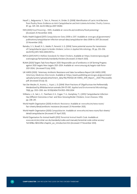- Nazef, L., Belguesmia, Y., Tani, A., Prevost, H., Drider, D. (2008) 'Identification of Lactic Acid Bacteria from Poultry Feces: Evidence on Anti-Campylobacter and Anti-Listeria Activities', *Poultry Science*, 87. pp. 329–334. doi:10.3382/ps.2007-00282.
- NHS (2021) *Food Poisoning* NHS. Available at: [www.nhs.uk/conditions/food-poisoning/](https://www.nhs.uk/conditions/food-poisoning/)  (Accessed: 25 November 2021).
- Public Health England (2017) *Campylobacter Data 200*8 *to 2017*. Available at: [www.gov.uk/government/](https://www.gov.uk/government/publications/campylobacter-infection-annual-data/campylobacter-data-2008-to-2017) [publications/campylobacter-infection-annual-data/campylobacter-data-2008-to-2017](https://www.gov.uk/government/publications/campylobacter-infection-annual-data/campylobacter-data-2008-to-2017) (Accessed: 25 November 2021).
- Ramabu, S. S., Boxall, N. S., Madie, P., Fenwick, S. G. (2004) 'Some potential sources for transmission of Campylobacter jejuni to broiler chickens', *Letters in Applied Microbiology*, 39, pp. 252–256. doi:10.1111/j.1472-765X.2004.01573.x.
- RSPCA (2017) *RSPCA Welfare Standards for Meat Chickens*, Available at: [https://science.rspca.org.uk/](https://science.rspca.org.uk/sciencegroup/farmanimals/standards/chickens) [sciencegroup/farmanimals/standards/chickens](https://science.rspca.org.uk/sciencegroup/farmanimals/standards/chickens) (Accessed: 23 March 2021).
- RUMA (2020) Targets Task Force Report 2020: Responsible use of antibiotics in UK farming Progress against 2020 targets New targets 2021–2024. Available at: [www.ruma.org.uk/targets-task-force-](https://www.ruma.org.uk/targets-task-force-2021-2024/)[2021-2024/.](https://www.ruma.org.uk/targets-task-force-2021-2024/) (Accessed 15 July 2020).
- UK-VARSS (2020). 'Veterinary Antibiotic Resistance and Sales Surveillance Report (UK-VARSS 2019)', *Veterinary Medicines Directorate*. Available at[: https://assets.publishing.service.gov.uk/government/](https://assets.publishing.service.gov.uk/government/uploads/system/uploads/attachment_data/file/950126/UK-VARSS_2019_Report__2020-TPaccessible.pdf) [uploads/system/uploads/attachment\\_data/file/950126/UK-VARSS\\_2019\\_Report\\_\\_2020-TPaccessible.](https://assets.publishing.service.gov.uk/government/uploads/system/uploads/attachment_data/file/950126/UK-VARSS_2019_Report__2020-TPaccessible.pdf) [pdf.](https://assets.publishing.service.gov.uk/government/uploads/system/uploads/attachment_data/file/950126/UK-VARSS_2019_Report__2020-TPaccessible.pdf) (Accessed 20 July 21).
- Van Der Meulen, R., Avonts, L., Vuyst, L. D. (2004) 'Short Fractions of Oligofructose Are Preferentially Metabolized by Bifidobacterium animalis DN-173 010', *Applied and Environmental Microbiology*, 70(4), pp. 1,923–1,930. doi: 10.1128/AEM.70.4.1923–1930.2004
- Williams, L. K., Sait, L. C., Trantham, E. K., Cogan, T. A., Humphrey, T. J. (2013) 'Campylobacter Infection Has Different Outcomes in Fast- and Slow-Growing Broiler Chickens', *Avian Diseases*, 57(2), pp. 238–241.
- World Health Organisation (2020) *Antibiotic Resistance*. Available at: [www.who.int/news-room/](https://www.who.int/news-room/fact-sheets/detail/antibiotic-resistance) [fact-sheets/detail/antibiotic-resistance](https://www.who.int/news-room/fact-sheets/detail/antibiotic-resistance) (Accessed: 25 November 2021).
- World Health Organisation (2020) *Campylobacter*. Available at: [www.who.int/news-room/fact-sheets/](https://www.who.int/news-room/fact-sheets/detail/campylobacter) [detail/campylobacter](https://www.who.int/news-room/fact-sheets/detail/campylobacter) (Accessed: 07 April 2021).
- World Organisation for Animal Health (2021) *Terrestrial Animal Health Code*. Available at: [www.oie.int/en/what-we-do/standards/codes-and-manuals/terrestrial-code-online-access/](https://www.oie.int/en/what-we-do/standards/codes-and-manuals/terrestrial-code-online-access/?id=169&L=1&htmfile=chapitre_aw_introduction.htm) [?id=169&L=1&htmfile=chapitre\\_aw\\_introduction.htm](https://www.oie.int/en/what-we-do/standards/codes-and-manuals/terrestrial-code-online-access/?id=169&L=1&htmfile=chapitre_aw_introduction.htm) (Accessed: 17 November 2021).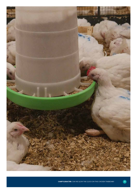